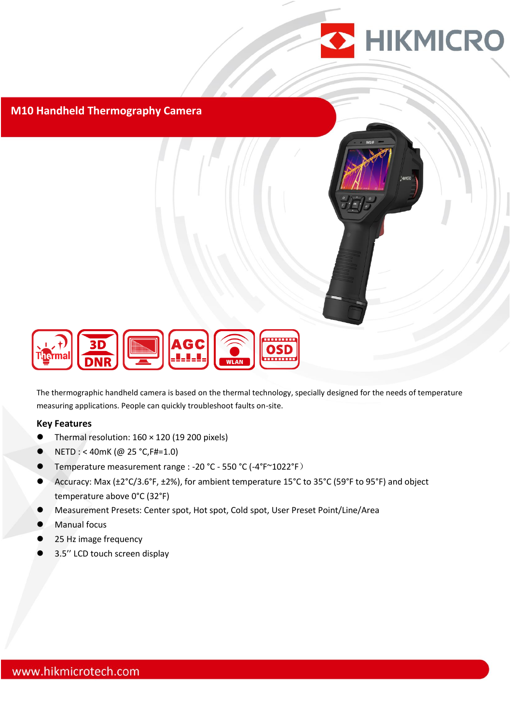

### **M10 Handheld Thermography Camera**



The thermographic handheld camera is based on the thermal technology, specially designed for the needs of temperature measuring applications. People can quickly troubleshoot faults on-site.

#### **Key Features**

- Thermal resolution: 160 × 120 (19 200 pixels)
- NETD : < 40mK (@ 25 °C,F#=1.0)
- Temperature measurement range : -20 °C 550 °C (-4°F~1022°F)
- Accuracy: Max (±2°C/3.6°F, ±2%), for ambient temperature 15°C to 35°C (59°F to 95°F) and object temperature above 0°C (32°F)
- Measurement Presets: Center spot, Hot spot, Cold spot, User Preset Point/Line/Area
- Manual focus
- 25 Hz image frequency
- 3.5'' LCD touch screen display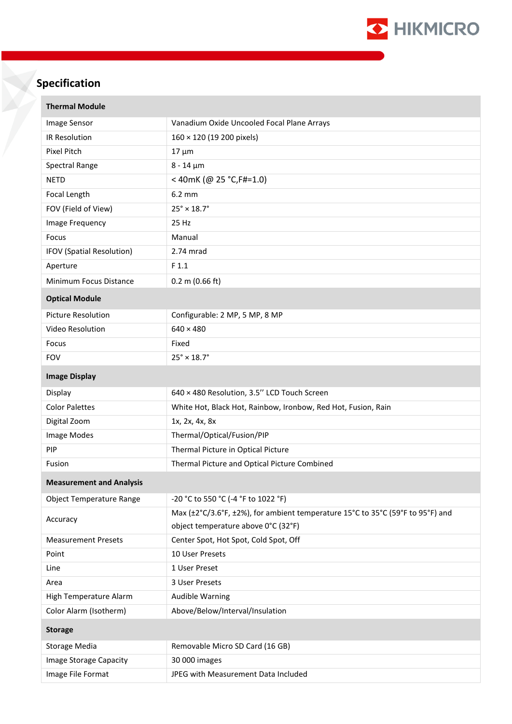

# **Specification**

| <b>Thermal Module</b>           |                                                                                |  |
|---------------------------------|--------------------------------------------------------------------------------|--|
| Image Sensor                    | Vanadium Oxide Uncooled Focal Plane Arrays                                     |  |
| IR Resolution                   | 160 × 120 (19 200 pixels)                                                      |  |
| Pixel Pitch                     | $17 \mu m$                                                                     |  |
| Spectral Range                  | $8 - 14 \mu m$                                                                 |  |
| <b>NETD</b>                     | <40mK (@ 25 °C, F#=1.0)                                                        |  |
| Focal Length                    | $6.2 \text{ mm}$                                                               |  |
| FOV (Field of View)             | $25^\circ \times 18.7^\circ$                                                   |  |
| Image Frequency                 | 25 Hz                                                                          |  |
| Focus                           | Manual                                                                         |  |
| IFOV (Spatial Resolution)       | 2.74 mrad                                                                      |  |
| Aperture                        | F 1.1                                                                          |  |
| Minimum Focus Distance          | $0.2$ m (0.66 ft)                                                              |  |
| <b>Optical Module</b>           |                                                                                |  |
| <b>Picture Resolution</b>       | Configurable: 2 MP, 5 MP, 8 MP                                                 |  |
| Video Resolution                | $640 \times 480$                                                               |  |
| Focus                           | Fixed                                                                          |  |
| <b>FOV</b>                      | $25^\circ \times 18.7^\circ$                                                   |  |
| <b>Image Display</b>            |                                                                                |  |
| Display                         | 640 × 480 Resolution, 3.5" LCD Touch Screen                                    |  |
| <b>Color Palettes</b>           | White Hot, Black Hot, Rainbow, Ironbow, Red Hot, Fusion, Rain                  |  |
| Digital Zoom                    | 1x, 2x, 4x, 8x                                                                 |  |
| Image Modes                     | Thermal/Optical/Fusion/PIP                                                     |  |
| PIP                             | Thermal Picture in Optical Picture                                             |  |
| Fusion                          | Thermal Picture and Optical Picture Combined                                   |  |
| <b>Measurement and Analysis</b> |                                                                                |  |
| <b>Object Temperature Range</b> | -20 °C to 550 °C (-4 °F to 1022 °F)                                            |  |
| Accuracy                        | Max (±2°C/3.6°F, ±2%), for ambient temperature 15°C to 35°C (59°F to 95°F) and |  |
|                                 | object temperature above 0°C (32°F)                                            |  |
| <b>Measurement Presets</b>      | Center Spot, Hot Spot, Cold Spot, Off                                          |  |
| Point                           | 10 User Presets                                                                |  |
| Line                            | 1 User Preset                                                                  |  |
| Area                            | 3 User Presets                                                                 |  |
| High Temperature Alarm          | <b>Audible Warning</b>                                                         |  |
| Color Alarm (Isotherm)          | Above/Below/Interval/Insulation                                                |  |
| <b>Storage</b>                  |                                                                                |  |
| Storage Media                   | Removable Micro SD Card (16 GB)                                                |  |
| Image Storage Capacity          | 30 000 images                                                                  |  |
| Image File Format               | JPEG with Measurement Data Included                                            |  |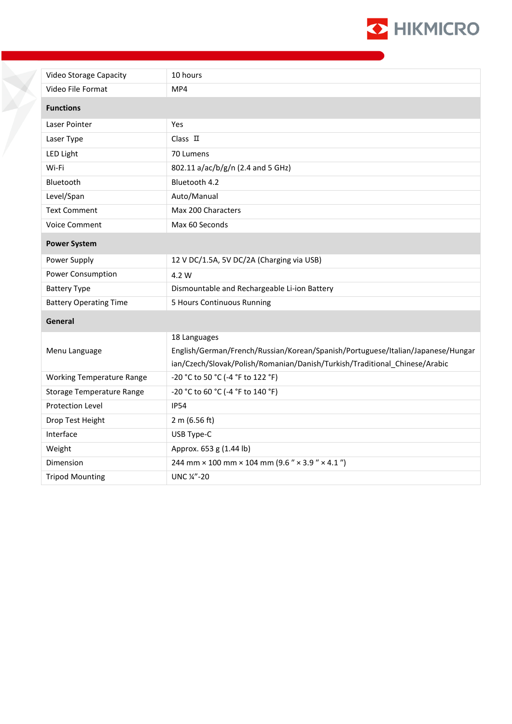

| Video Storage Capacity           | 10 hours                                                                        |
|----------------------------------|---------------------------------------------------------------------------------|
| Video File Format                | MP4                                                                             |
|                                  |                                                                                 |
| <b>Functions</b>                 |                                                                                 |
| Laser Pointer                    | Yes                                                                             |
| Laser Type                       | $Class$ $\Pi$                                                                   |
| LED Light                        | 70 Lumens                                                                       |
| Wi-Fi                            | 802.11 a/ac/b/g/n (2.4 and 5 GHz)                                               |
| Bluetooth                        | Bluetooth 4.2                                                                   |
| Level/Span                       | Auto/Manual                                                                     |
| <b>Text Comment</b>              | Max 200 Characters                                                              |
| <b>Voice Comment</b>             | Max 60 Seconds                                                                  |
| <b>Power System</b>              |                                                                                 |
| Power Supply                     | 12 V DC/1.5A, 5V DC/2A (Charging via USB)                                       |
| Power Consumption                | 4.2 W                                                                           |
| <b>Battery Type</b>              | Dismountable and Rechargeable Li-ion Battery                                    |
| <b>Battery Operating Time</b>    | 5 Hours Continuous Running                                                      |
| General                          |                                                                                 |
|                                  | 18 Languages                                                                    |
| Menu Language                    | English/German/French/Russian/Korean/Spanish/Portuguese/Italian/Japanese/Hungar |
|                                  | ian/Czech/Slovak/Polish/Romanian/Danish/Turkish/Traditional_Chinese/Arabic      |
| <b>Working Temperature Range</b> | -20 °C to 50 °C (-4 °F to 122 °F)                                               |
| <b>Storage Temperature Range</b> | -20 °C to 60 °C (-4 °F to 140 °F)                                               |
| <b>Protection Level</b>          | <b>IP54</b>                                                                     |
| Drop Test Height                 | 2 m (6.56 ft)                                                                   |
| Interface                        | USB Type-C                                                                      |
| Weight                           | Approx. 653 g (1.44 lb)                                                         |
| Dimension                        | 244 mm $\times$ 100 mm $\times$ 104 mm (9.6 " $\times$ 3.9 " $\times$ 4.1 ")    |
| <b>Tripod Mounting</b>           | UNC 1/4"-20                                                                     |

X